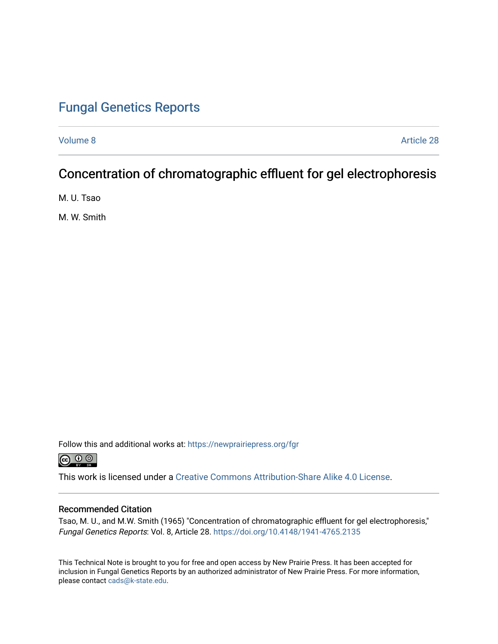### [Fungal Genetics Reports](https://newprairiepress.org/fgr)

[Volume 8](https://newprairiepress.org/fgr/vol8) Article 28

# Concentration of chromatographic effluent for gel electrophoresis

M. U. Tsao

M. W. Smith

Follow this and additional works at: [https://newprairiepress.org/fgr](https://newprairiepress.org/fgr?utm_source=newprairiepress.org%2Ffgr%2Fvol8%2Fiss1%2F28&utm_medium=PDF&utm_campaign=PDFCoverPages) 



This work is licensed under a [Creative Commons Attribution-Share Alike 4.0 License.](https://creativecommons.org/licenses/by-sa/4.0/)

#### Recommended Citation

Tsao, M. U., and M.W. Smith (1965) "Concentration of chromatographic effluent for gel electrophoresis," Fungal Genetics Reports: Vol. 8, Article 28. <https://doi.org/10.4148/1941-4765.2135>

This Technical Note is brought to you for free and open access by New Prairie Press. It has been accepted for inclusion in Fungal Genetics Reports by an authorized administrator of New Prairie Press. For more information, please contact [cads@k-state.edu.](mailto:cads@k-state.edu)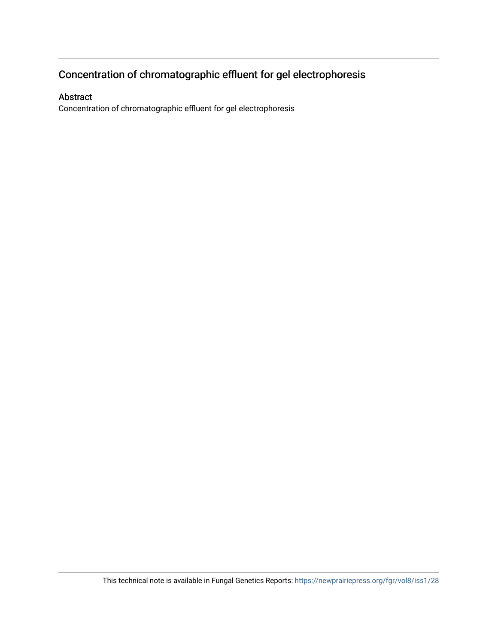## Concentration of chromatographic effluent for gel electrophoresis

### Abstract

Concentration of chromatographic effluent for gel electrophoresis